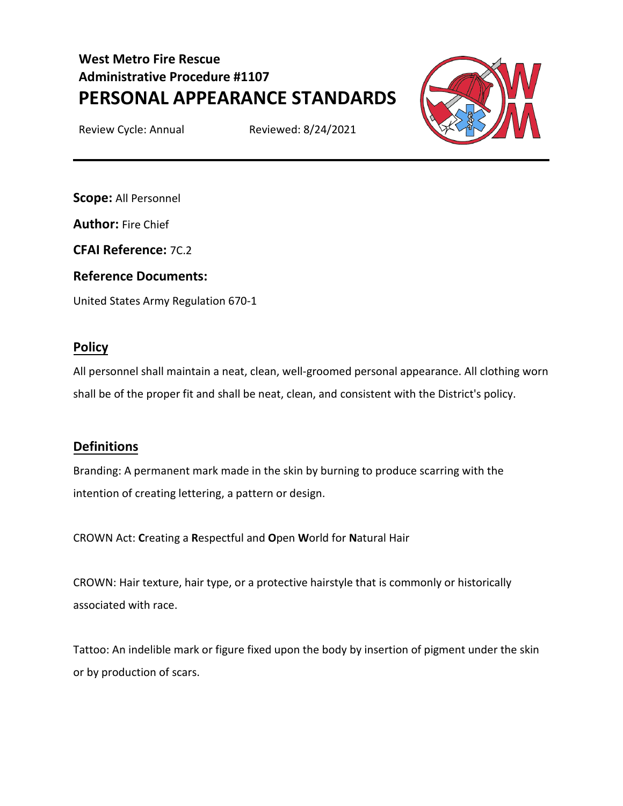# **West Metro Fire Rescue Administrative Procedure #1107 PERSONAL APPEARANCE STANDARDS**

Review Cycle: Annual Reviewed: 8/24/2021



**Scope:** All Personnel

**Author:** Fire Chief

**CFAI Reference:** 7C.2

#### **Reference Documents:**

United States Army Regulation 670-1

# **Policy**

All personnel shall maintain a neat, clean, well-groomed personal appearance. All clothing worn shall be of the proper fit and shall be neat, clean, and consistent with the District's policy.

# **Definitions**

Branding: A permanent mark made in the skin by burning to produce scarring with the intention of creating lettering, a pattern or design.

CROWN Act: **C**reating a **R**espectful and **O**pen **W**orld for **N**atural Hair

CROWN: Hair texture, hair type, or a protective hairstyle that is commonly or historically associated with race.

Tattoo: An indelible mark or figure fixed upon the body by insertion of pigment under the skin or by production of scars.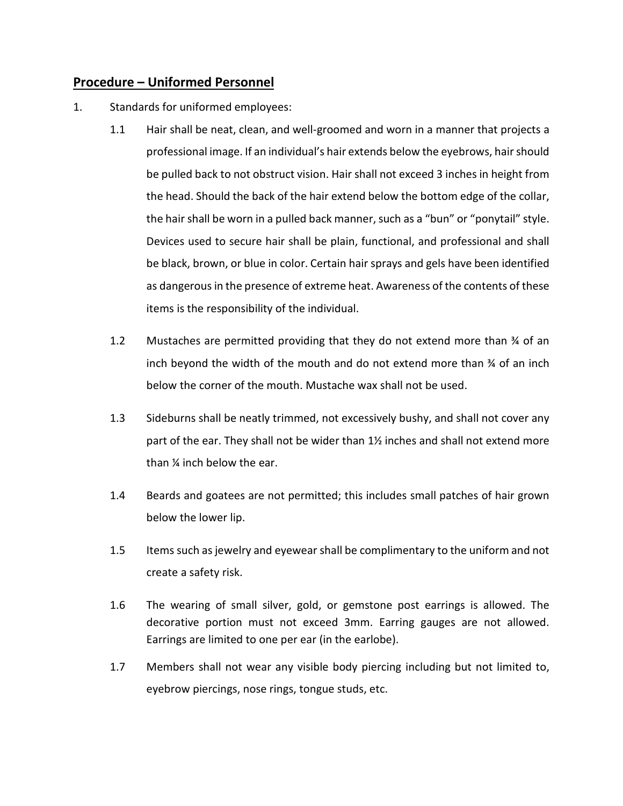# **Procedure – Uniformed Personnel**

- 1. Standards for uniformed employees:
	- 1.1 Hair shall be neat, clean, and well-groomed and worn in a manner that projects a professional image. If an individual's hair extends below the eyebrows, hair should be pulled back to not obstruct vision. Hair shall not exceed 3 inches in height from the head. Should the back of the hair extend below the bottom edge of the collar, the hair shall be worn in a pulled back manner, such as a "bun" or "ponytail" style. Devices used to secure hair shall be plain, functional, and professional and shall be black, brown, or blue in color. Certain hair sprays and gels have been identified as dangerous in the presence of extreme heat. Awareness of the contents of these items is the responsibility of the individual.
	- 1.2 Mustaches are permitted providing that they do not extend more than ¾ of an inch beyond the width of the mouth and do not extend more than ¾ of an inch below the corner of the mouth. Mustache wax shall not be used.
	- 1.3 Sideburns shall be neatly trimmed, not excessively bushy, and shall not cover any part of the ear. They shall not be wider than 1½ inches and shall not extend more than ¼ inch below the ear.
	- 1.4 Beards and goatees are not permitted; this includes small patches of hair grown below the lower lip.
	- 1.5 Items such as jewelry and eyewear shall be complimentary to the uniform and not create a safety risk.
	- 1.6 The wearing of small silver, gold, or gemstone post earrings is allowed. The decorative portion must not exceed 3mm. Earring gauges are not allowed. Earrings are limited to one per ear (in the earlobe).
	- 1.7 Members shall not wear any visible body piercing including but not limited to, eyebrow piercings, nose rings, tongue studs, etc.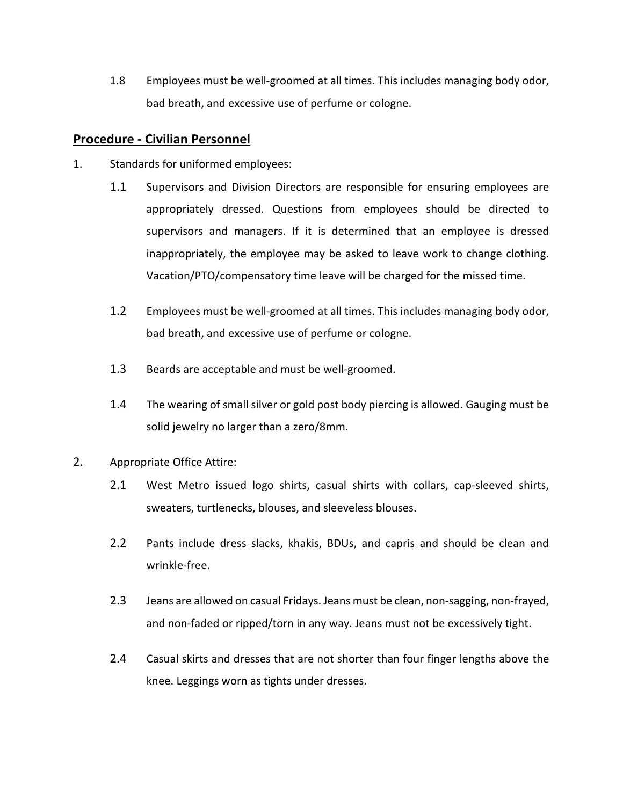1.8 Employees must be well-groomed at all times. This includes managing body odor, bad breath, and excessive use of perfume or cologne.

#### **Procedure - Civilian Personnel**

- 1. Standards for uniformed employees:
	- 1.1 Supervisors and Division Directors are responsible for ensuring employees are appropriately dressed. Questions from employees should be directed to supervisors and managers. If it is determined that an employee is dressed inappropriately, the employee may be asked to leave work to change clothing. Vacation/PTO/compensatory time leave will be charged for the missed time.
	- 1.2 Employees must be well-groomed at all times. This includes managing body odor, bad breath, and excessive use of perfume or cologne.
	- 1.3 Beards are acceptable and must be well-groomed.
	- 1.4 The wearing of small silver or gold post body piercing is allowed. Gauging must be solid jewelry no larger than a zero/8mm.
- 2. Appropriate Office Attire:
	- 2.1 West Metro issued logo shirts, casual shirts with collars, cap-sleeved shirts, sweaters, turtlenecks, blouses, and sleeveless blouses.
	- 2.2 Pants include dress slacks, khakis, BDUs, and capris and should be clean and wrinkle-free.
	- 2.3 Jeans are allowed on casual Fridays. Jeans must be clean, non-sagging, non-frayed, and non-faded or ripped/torn in any way. Jeans must not be excessively tight.
	- 2.4 Casual skirts and dresses that are not shorter than four finger lengths above the knee. Leggings worn as tights under dresses.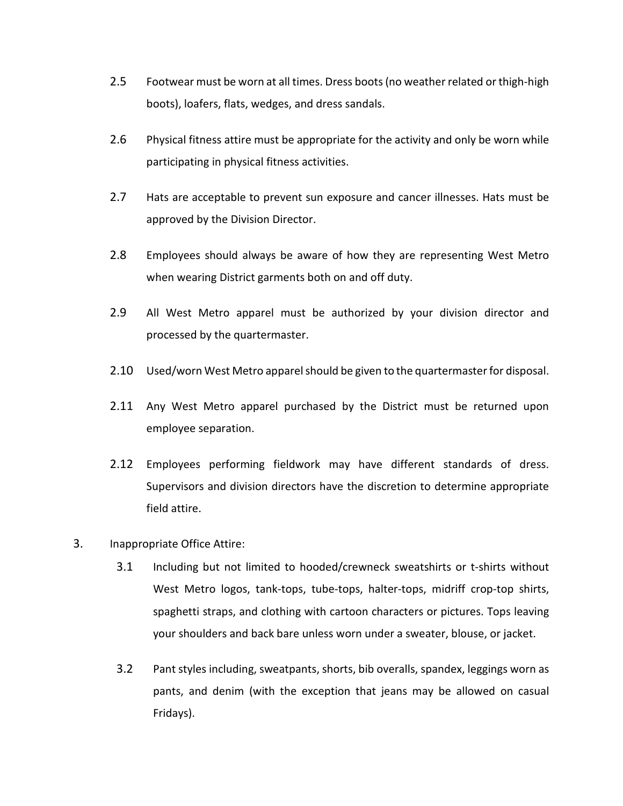- 2.5 Footwear must be worn at all times. Dress boots (no weather related or thigh-high boots), loafers, flats, wedges, and dress sandals.
- 2.6 Physical fitness attire must be appropriate for the activity and only be worn while participating in physical fitness activities.
- 2.7 Hats are acceptable to prevent sun exposure and cancer illnesses. Hats must be approved by the Division Director.
- 2.8 Employees should always be aware of how they are representing West Metro when wearing District garments both on and off duty.
- 2.9 All West Metro apparel must be authorized by your division director and processed by the quartermaster.
- 2.10 Used/worn West Metro apparel should be given to the quartermaster for disposal.
- 2.11 Any West Metro apparel purchased by the District must be returned upon employee separation.
- 2.12 Employees performing fieldwork may have different standards of dress. Supervisors and division directors have the discretion to determine appropriate field attire.
- 3. Inappropriate Office Attire:
	- 3.1 Including but not limited to hooded/crewneck sweatshirts or t-shirts without West Metro logos, tank-tops, tube-tops, halter-tops, midriff crop-top shirts, spaghetti straps, and clothing with cartoon characters or pictures. Tops leaving your shoulders and back bare unless worn under a sweater, blouse, or jacket.
	- 3.2 Pant styles including, sweatpants, shorts, bib overalls, spandex, leggings worn as pants, and denim (with the exception that jeans may be allowed on casual Fridays).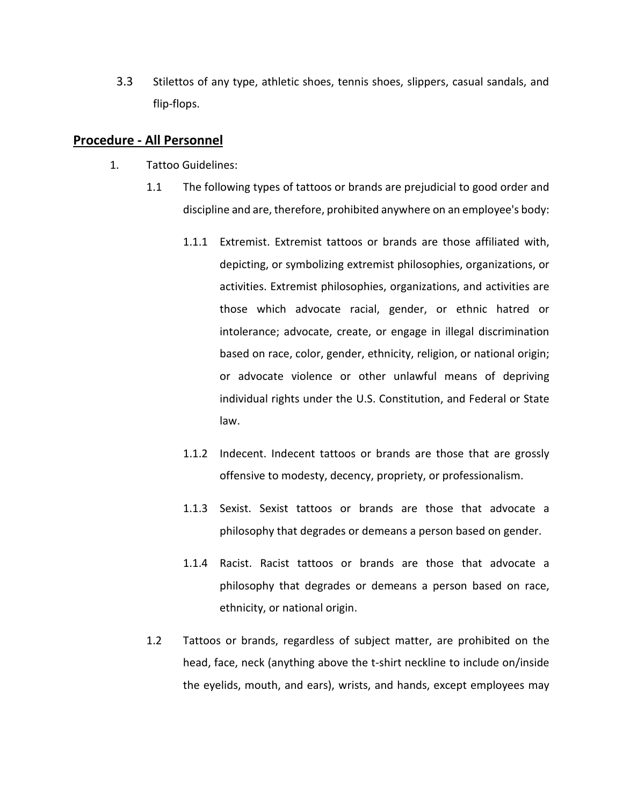3.3 Stilettos of any type, athletic shoes, tennis shoes, slippers, casual sandals, and flip-flops.

#### **Procedure - All Personnel**

- 1. Tattoo Guidelines:
	- 1.1 The following types of tattoos or brands are prejudicial to good order and discipline and are, therefore, prohibited anywhere on an employee's body:
		- 1.1.1 Extremist. Extremist tattoos or brands are those affiliated with, depicting, or symbolizing extremist philosophies, organizations, or activities. Extremist philosophies, organizations, and activities are those which advocate racial, gender, or ethnic hatred or intolerance; advocate, create, or engage in illegal discrimination based on race, color, gender, ethnicity, religion, or national origin; or advocate violence or other unlawful means of depriving individual rights under the U.S. Constitution, and Federal or State law.
		- 1.1.2 Indecent. Indecent tattoos or brands are those that are grossly offensive to modesty, decency, propriety, or professionalism.
		- 1.1.3 Sexist. Sexist tattoos or brands are those that advocate a philosophy that degrades or demeans a person based on gender.
		- 1.1.4 Racist. Racist tattoos or brands are those that advocate a philosophy that degrades or demeans a person based on race, ethnicity, or national origin.
	- 1.2 Tattoos or brands, regardless of subject matter, are prohibited on the head, face, neck (anything above the t-shirt neckline to include on/inside the eyelids, mouth, and ears), wrists, and hands, except employees may